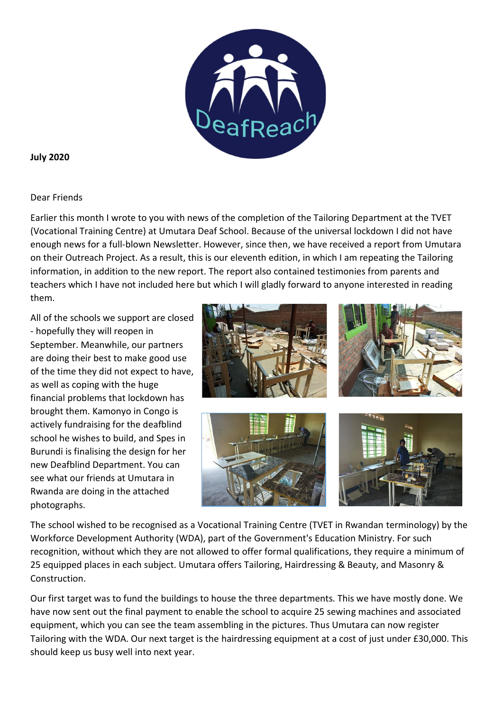

### **July 2020**

### Dear Friends

Earlier this month I wrote to you with news of the completion of the Tailoring Department at the TVET (Vocational Training Centre) at Umutara Deaf School. Because of the universal lockdown I did not have enough news for a full-blown Newsletter. However, since then, we have received a report from Umutara on their Outreach Project. As a result, this is our eleventh edition, in which I am repeating the Tailoring information, in addition to the new report. The report also contained testimonies from parents and teachers which I have not included here but which I will gladly forward to anyone interested in reading them.

All of the schools we support are closed - hopefully they will reopen in September. Meanwhile, our partners are doing their best to make good use of the time they did not expect to have, as well as coping with the huge financial problems that lockdown has brought them. Kamonyo in Congo is actively fundraising for the deafblind school he wishes to build, and Spes in Burundi is finalising the design for her new Deafblind Department. You can see what our friends at Umutara in Rwanda are doing in the attached photographs.



The school wished to be recognised as a Vocational Training Centre (TVET in Rwandan terminology) by the Workforce Development Authority (WDA), part of the Government's Education Ministry. For such recognition, without which they are not allowed to offer formal qualifications, they require a minimum of 25 equipped places in each subject. Umutara offers Tailoring, Hairdressing & Beauty, and Masonry & Construction.

Our first target was to fund the buildings to house the three departments. This we have mostly done. We have now sent out the final payment to enable the school to acquire 25 sewing machines and associated equipment, which you can see the team assembling in the pictures. Thus Umutara can now register Tailoring with the WDA. Our next target is the hairdressing equipment at a cost of just under £30,000. This should keep us busy well into next year.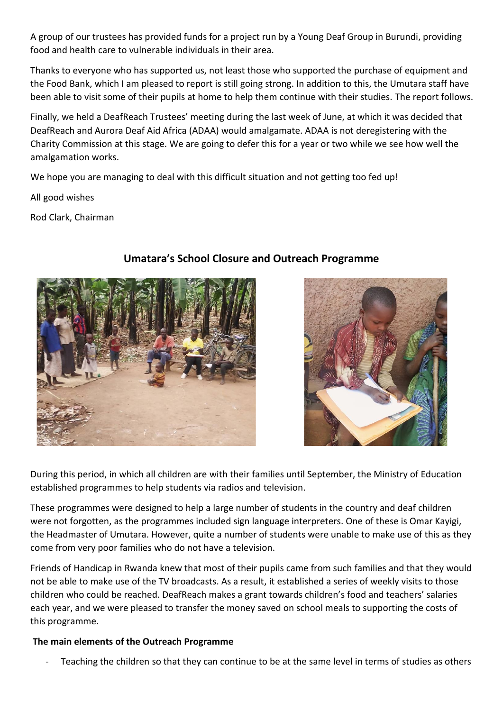A group of our trustees has provided funds for a project run by a Young Deaf Group in Burundi, providing food and health care to vulnerable individuals in their area.

Thanks to everyone who has supported us, not least those who supported the purchase of equipment and the Food Bank, which I am pleased to report is still going strong. In addition to this, the Umutara staff have been able to visit some of their pupils at home to help them continue with their studies. The report follows.

Finally, we held a DeafReach Trustees' meeting during the last week of June, at which it was decided that DeafReach and Aurora Deaf Aid Africa (ADAA) would amalgamate. ADAA is not deregistering with the Charity Commission at this stage. We are going to defer this for a year or two while we see how well the amalgamation works.

We hope you are managing to deal with this difficult situation and not getting too fed up!

All good wishes

Rod Clark, Chairman



# **Umatara's School Closure and Outreach Programme**



During this period, in which all children are with their families until September, the Ministry of Education established programmes to help students via radios and television.

These programmes were designed to help a large number of students in the country and deaf children were not forgotten, as the programmes included sign language interpreters. One of these is Omar Kayigi, the Headmaster of Umutara. However, quite a number of students were unable to make use of this as they come from very poor families who do not have a television.

Friends of Handicap in Rwanda knew that most of their pupils came from such families and that they would not be able to make use of the TV broadcasts. As a result, it established a series of weekly visits to those children who could be reached. DeafReach makes a grant towards children's food and teachers' salaries each year, and we were pleased to transfer the money saved on school meals to supporting the costs of this programme.

## **The main elements of the Outreach Programme**

Teaching the children so that they can continue to be at the same level in terms of studies as others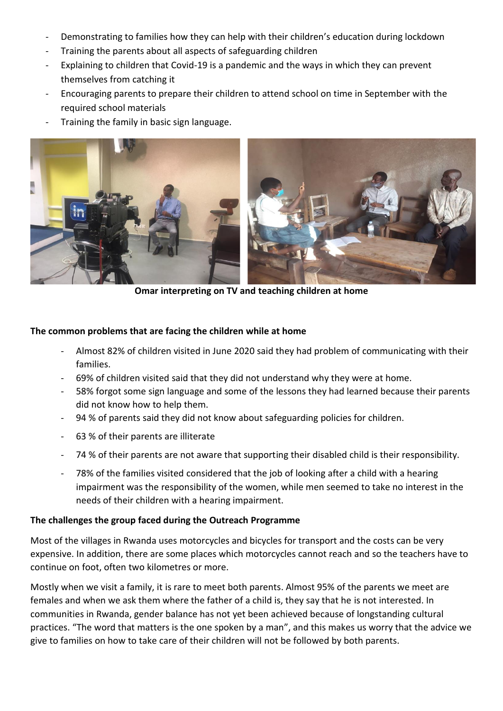- Demonstrating to families how they can help with their children's education during lockdown
- Training the parents about all aspects of safeguarding children
- Explaining to children that Covid-19 is a pandemic and the ways in which they can prevent themselves from catching it
- Encouraging parents to prepare their children to attend school on time in September with the required school materials
- Training the family in basic sign language.



**Omar interpreting on TV and teaching children at home**

### **The common problems that are facing the children while at home**

- Almost 82% of children visited in June 2020 said they had problem of communicating with their families.
- 69% of children visited said that they did not understand why they were at home.
- 58% forgot some sign language and some of the lessons they had learned because their parents did not know how to help them.
- 94 % of parents said they did not know about safeguarding policies for children.
- 63 % of their parents are illiterate
- 74 % of their parents are not aware that supporting their disabled child is their responsibility.
- 78% of the families visited considered that the job of looking after a child with a hearing impairment was the responsibility of the women, while men seemed to take no interest in the needs of their children with a hearing impairment.

#### **The challenges the group faced during the Outreach Programme**

Most of the villages in Rwanda uses motorcycles and bicycles for transport and the costs can be very expensive. In addition, there are some places which motorcycles cannot reach and so the teachers have to continue on foot, often two kilometres or more.

Mostly when we visit a family, it is rare to meet both parents. Almost 95% of the parents we meet are females and when we ask them where the father of a child is, they say that he is not interested. In communities in Rwanda, gender balance has not yet been achieved because of longstanding cultural practices. "The word that matters is the one spoken by a man", and this makes us worry that the advice we give to families on how to take care of their children will not be followed by both parents.